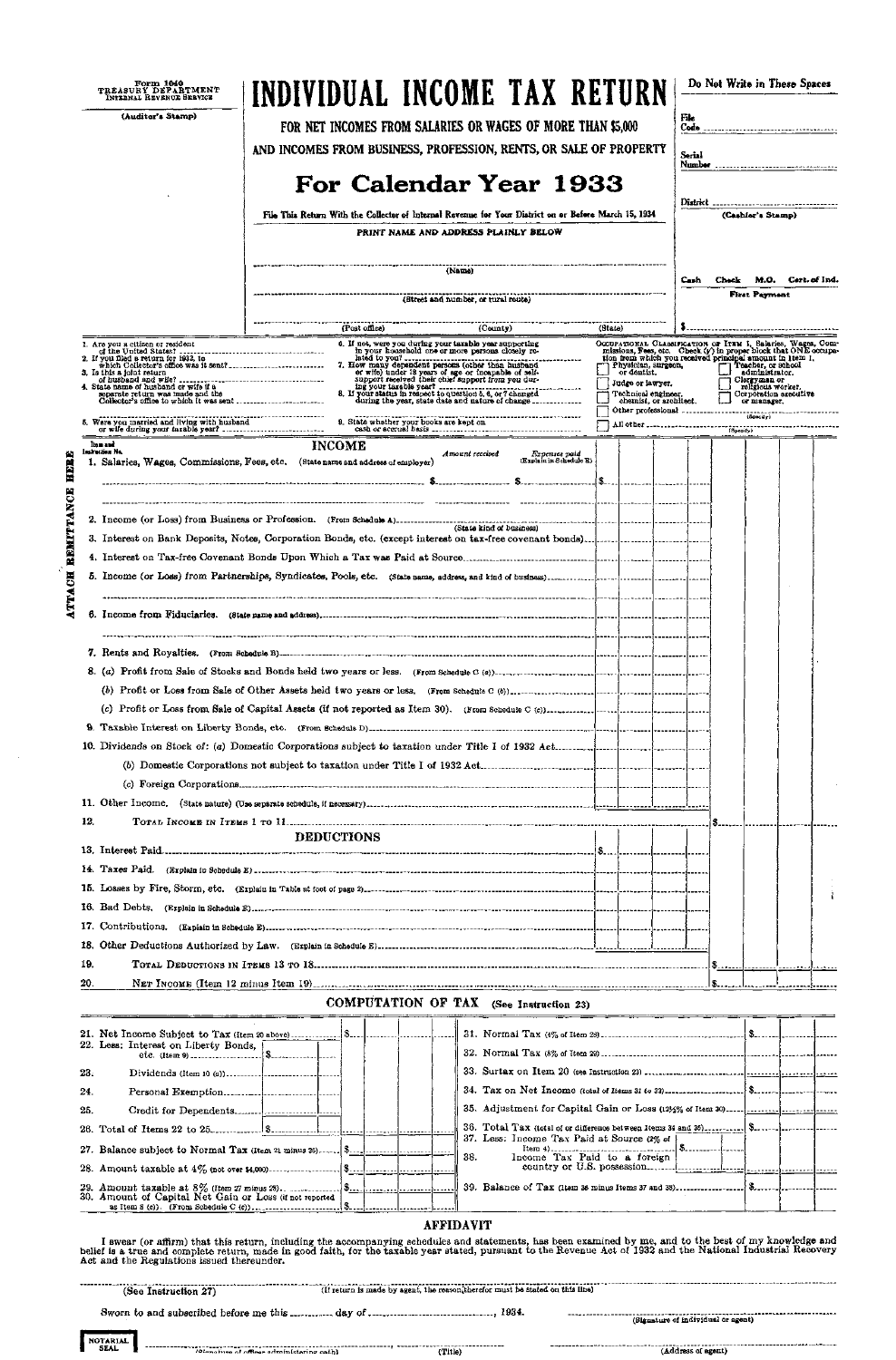|                | Form 1040<br>TREASURY DEPARTMENT<br>INTERNAL REVENUE SERVICE                     |                                                                                                       |               | INDIVIDUAL INCOME TAX RETURN                                                                                                                                    |                                          |               |                                                                                                                                                                                            |  |               |  | Do Not Write in These Spaces                                 |                   |  |
|----------------|----------------------------------------------------------------------------------|-------------------------------------------------------------------------------------------------------|---------------|-----------------------------------------------------------------------------------------------------------------------------------------------------------------|------------------------------------------|---------------|--------------------------------------------------------------------------------------------------------------------------------------------------------------------------------------------|--|---------------|--|--------------------------------------------------------------|-------------------|--|
|                | (Auditor's Stamp)                                                                |                                                                                                       |               | FOR NET INCOMES FROM SALARIES OR WAGES OF MORE THAN \$5,000                                                                                                     |                                          |               |                                                                                                                                                                                            |  | File          |  |                                                              |                   |  |
|                |                                                                                  |                                                                                                       |               | AND INCOMES FROM BUSINESS, PROFESSION, RENTS, OR SALE OF PROPERTY                                                                                               |                                          |               |                                                                                                                                                                                            |  |               |  |                                                              |                   |  |
|                |                                                                                  |                                                                                                       |               |                                                                                                                                                                 |                                          |               |                                                                                                                                                                                            |  | Serial        |  |                                                              |                   |  |
|                |                                                                                  |                                                                                                       |               | For Calendar Year 1933                                                                                                                                          |                                          |               |                                                                                                                                                                                            |  |               |  | District __________________________________                  |                   |  |
|                |                                                                                  | File This Return With the Collector of Internal Revenue for Your District on or Before March 15, 1934 |               |                                                                                                                                                                 |                                          |               |                                                                                                                                                                                            |  |               |  |                                                              | (Cashier's Stamp) |  |
|                | PRINT NAME AND ADDRESS PLAINLY BELOW                                             |                                                                                                       |               |                                                                                                                                                                 |                                          |               |                                                                                                                                                                                            |  |               |  |                                                              |                   |  |
|                |                                                                                  |                                                                                                       |               |                                                                                                                                                                 |                                          |               |                                                                                                                                                                                            |  |               |  |                                                              |                   |  |
|                | (Nam <sub>0</sub> )                                                              |                                                                                                       |               |                                                                                                                                                                 |                                          |               |                                                                                                                                                                                            |  | Cash.         |  | Check M.O. Cert. of Ind.                                     |                   |  |
|                |                                                                                  | (Street and number, or rural route)                                                                   |               |                                                                                                                                                                 |                                          |               |                                                                                                                                                                                            |  | First Payment |  |                                                              |                   |  |
|                |                                                                                  |                                                                                                       |               |                                                                                                                                                                 |                                          |               |                                                                                                                                                                                            |  |               |  |                                                              |                   |  |
|                | 1. Are you a citizen or resident                                                 |                                                                                                       | (Post office) | (County)<br>6. If not, were you during your taxable year supporting                                                                                             |                                          | (State)       |                                                                                                                                                                                            |  |               |  |                                                              |                   |  |
|                | 2. If you filed a return for 1932, to                                            |                                                                                                       |               | in your household one or more persons closely re-                                                                                                               |                                          |               | OCCUPATIONAL CLASSIFICATION OF ITRM 1, Salaries, Wages, Commissions, Fees, etc. Check ( $\gamma$ ) in proper block that ONE occupation from which you received principal amount in 1tem 1. |  |               |  |                                                              |                   |  |
|                | 3. Is this a joint return                                                        |                                                                                                       |               | 7. How many dependent persons (other than husband<br>or wife) under 18 years of age or incapable of self-<br>support received their chief support from you dur- |                                          |               | Physician, surgeon,                                                                                                                                                                        |  |               |  | Teacher, or school<br>administrator.<br>Clergyman or         |                   |  |
|                | 4. State name of husband or wife if a<br>separate return was made and the        |                                                                                                       |               | during the year, state date and nature of change-                                                                                                               |                                          |               | Judge or lawyer.<br>Technical engineer,<br>chemist, or architect.                                                                                                                          |  |               |  | religious worker.<br>Corporation arecutive<br>Corporation as |                   |  |
|                | 5. Were you married and living with husband                                      |                                                                                                       |               | 9. State whether your books are kept on                                                                                                                         |                                          |               |                                                                                                                                                                                            |  |               |  |                                                              |                   |  |
|                |                                                                                  |                                                                                                       |               |                                                                                                                                                                 |                                          |               |                                                                                                                                                                                            |  |               |  |                                                              |                   |  |
|                | llen and<br>Japhnetien Ne.                                                       | <b>INCOME</b>                                                                                         |               | Amount received                                                                                                                                                 | Expenses paid<br>(Explain in Schedule E) |               |                                                                                                                                                                                            |  |               |  |                                                              |                   |  |
|                | 1. Salaries, Wages, Commissions, Fees, etc. (State name and address of employer) |                                                                                                       |               |                                                                                                                                                                 |                                          | $(s_{\dots})$ |                                                                                                                                                                                            |  |               |  |                                                              |                   |  |
| REMITTANCE HEE |                                                                                  |                                                                                                       |               |                                                                                                                                                                 |                                          |               |                                                                                                                                                                                            |  |               |  |                                                              |                   |  |
|                |                                                                                  |                                                                                                       |               |                                                                                                                                                                 |                                          |               | 1. 1.                                                                                                                                                                                      |  |               |  |                                                              |                   |  |
|                |                                                                                  |                                                                                                       |               |                                                                                                                                                                 |                                          |               |                                                                                                                                                                                            |  |               |  |                                                              |                   |  |
|                |                                                                                  |                                                                                                       |               |                                                                                                                                                                 |                                          |               |                                                                                                                                                                                            |  |               |  |                                                              |                   |  |
|                |                                                                                  |                                                                                                       |               |                                                                                                                                                                 |                                          |               |                                                                                                                                                                                            |  |               |  |                                                              |                   |  |
|                |                                                                                  |                                                                                                       |               |                                                                                                                                                                 |                                          |               |                                                                                                                                                                                            |  |               |  |                                                              |                   |  |
| <b>ATTACH</b>  |                                                                                  |                                                                                                       |               |                                                                                                                                                                 |                                          |               |                                                                                                                                                                                            |  |               |  |                                                              |                   |  |
|                |                                                                                  |                                                                                                       |               |                                                                                                                                                                 |                                          |               |                                                                                                                                                                                            |  |               |  |                                                              |                   |  |
|                |                                                                                  |                                                                                                       |               |                                                                                                                                                                 |                                          |               |                                                                                                                                                                                            |  |               |  |                                                              |                   |  |
|                |                                                                                  |                                                                                                       |               |                                                                                                                                                                 |                                          |               |                                                                                                                                                                                            |  |               |  |                                                              |                   |  |
|                |                                                                                  |                                                                                                       |               |                                                                                                                                                                 |                                          |               |                                                                                                                                                                                            |  |               |  |                                                              |                   |  |
|                |                                                                                  |                                                                                                       |               |                                                                                                                                                                 |                                          |               |                                                                                                                                                                                            |  |               |  |                                                              |                   |  |
|                |                                                                                  |                                                                                                       |               |                                                                                                                                                                 |                                          |               |                                                                                                                                                                                            |  |               |  |                                                              |                   |  |
|                |                                                                                  |                                                                                                       |               |                                                                                                                                                                 |                                          |               |                                                                                                                                                                                            |  |               |  |                                                              |                   |  |
|                |                                                                                  |                                                                                                       |               |                                                                                                                                                                 |                                          |               |                                                                                                                                                                                            |  |               |  |                                                              |                   |  |
|                |                                                                                  |                                                                                                       |               |                                                                                                                                                                 |                                          |               |                                                                                                                                                                                            |  |               |  |                                                              |                   |  |
|                |                                                                                  |                                                                                                       |               |                                                                                                                                                                 |                                          |               |                                                                                                                                                                                            |  |               |  |                                                              |                   |  |
| 12.            |                                                                                  |                                                                                                       |               |                                                                                                                                                                 |                                          |               |                                                                                                                                                                                            |  |               |  |                                                              |                   |  |
|                |                                                                                  | <b>DEDUCTIONS</b>                                                                                     |               |                                                                                                                                                                 |                                          |               |                                                                                                                                                                                            |  |               |  |                                                              |                   |  |
|                |                                                                                  |                                                                                                       |               |                                                                                                                                                                 |                                          |               |                                                                                                                                                                                            |  |               |  |                                                              |                   |  |
|                |                                                                                  |                                                                                                       |               |                                                                                                                                                                 |                                          |               |                                                                                                                                                                                            |  |               |  |                                                              |                   |  |
|                |                                                                                  |                                                                                                       |               |                                                                                                                                                                 |                                          |               |                                                                                                                                                                                            |  |               |  |                                                              |                   |  |
|                |                                                                                  |                                                                                                       |               |                                                                                                                                                                 |                                          |               |                                                                                                                                                                                            |  |               |  |                                                              |                   |  |
|                |                                                                                  |                                                                                                       |               |                                                                                                                                                                 |                                          |               |                                                                                                                                                                                            |  |               |  |                                                              |                   |  |
| 19.            |                                                                                  |                                                                                                       |               |                                                                                                                                                                 |                                          |               |                                                                                                                                                                                            |  |               |  |                                                              |                   |  |
| 20.            |                                                                                  |                                                                                                       |               |                                                                                                                                                                 |                                          |               |                                                                                                                                                                                            |  |               |  |                                                              |                   |  |
|                |                                                                                  |                                                                                                       |               | COMPUTATION OF TAX (See Instruction 23)                                                                                                                         |                                          |               |                                                                                                                                                                                            |  |               |  |                                                              |                   |  |

| COMPUTATION OF TAX (See Instruction 23) |  |
|-----------------------------------------|--|
|-----------------------------------------|--|

**3 1 . Normal Ta x (4% of Item 28)**  \$. |\$-21. Net Income Subject to Tax (Item 20 above)

I swear (or affirm) that this return, including the accompanying schedules and statements, has been examined by me, and to the best of my knowledge and belief is a true and complete return, made in good faith, for the taxable year stated, pursuant to the Revenue Act of 1932 and the National Industrial Recovery **Ac t and the Regulations issued thereunder.** 

| (If return is made by agent, the reason therefor must be stated on this line)<br>(See Instruction 27) |                                                  |        |  |                                    |  |  |  |  |  |
|-------------------------------------------------------------------------------------------------------|--------------------------------------------------|--------|--|------------------------------------|--|--|--|--|--|
|                                                                                                       |                                                  |        |  | (Signature of individual or agent) |  |  |  |  |  |
| NOTARIAL                                                                                              | <i>Ikianatura of officer administaring cath)</i> | Title, |  | (Address of agent)                 |  |  |  |  |  |



#### **AFFIDAVIT**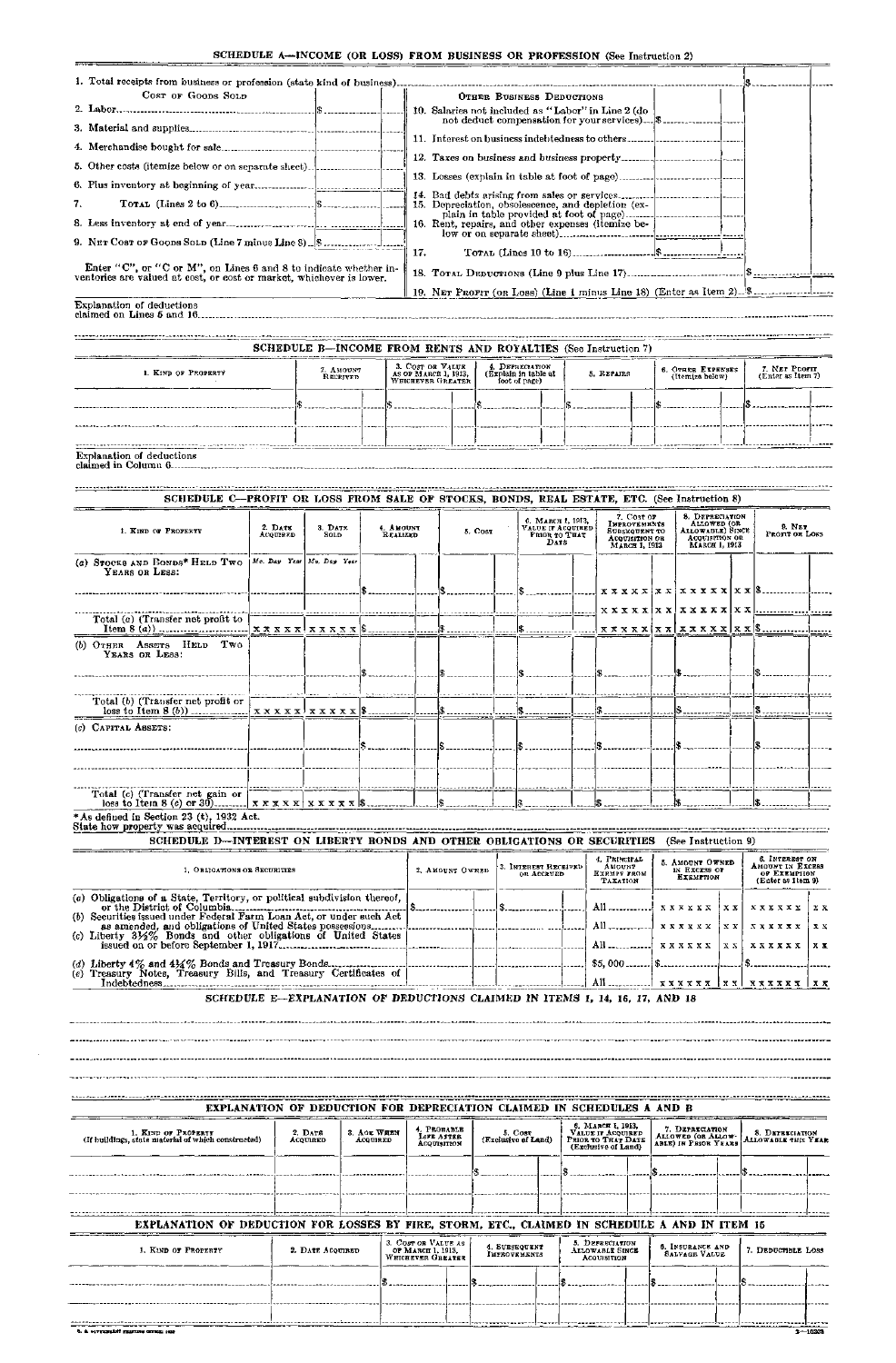#### SCHEDULE A—INCOME (OR LOSS) FROM BUSINESS OR PROFESSION (See Instruction 2)

| COST OF GOODS SOLD                                                                                                                   |                     |                                                                |                              |                                           |                  |                                       | OTHER BUSINESS DEDUCTIONS                         |  |                                                    |  |                                                                    |     |                                                                                    |    |
|--------------------------------------------------------------------------------------------------------------------------------------|---------------------|----------------------------------------------------------------|------------------------------|-------------------------------------------|------------------|---------------------------------------|---------------------------------------------------|--|----------------------------------------------------|--|--------------------------------------------------------------------|-----|------------------------------------------------------------------------------------|----|
|                                                                                                                                      |                     |                                                                |                              |                                           |                  |                                       |                                                   |  | 10. Salaries not included as "Labor" in Line 2 (do |  |                                                                    |     |                                                                                    |    |
|                                                                                                                                      |                     |                                                                |                              |                                           |                  |                                       |                                                   |  |                                                    |  |                                                                    |     |                                                                                    |    |
|                                                                                                                                      |                     |                                                                |                              |                                           |                  |                                       |                                                   |  |                                                    |  |                                                                    |     |                                                                                    |    |
| 5. Other costs (itemize below or on separate sheet)                                                                                  |                     |                                                                |                              |                                           |                  |                                       |                                                   |  |                                                    |  |                                                                    |     |                                                                                    |    |
|                                                                                                                                      |                     |                                                                |                              |                                           |                  |                                       |                                                   |  |                                                    |  |                                                                    |     |                                                                                    |    |
| 7.                                                                                                                                   |                     |                                                                |                              |                                           |                  |                                       |                                                   |  | 15. Depreciation, obsolescence, and depletion (ex- |  |                                                                    |     |                                                                                    |    |
|                                                                                                                                      |                     |                                                                |                              |                                           |                  |                                       |                                                   |  | 16. Rent, repairs, and other expenses (itemize be- |  |                                                                    |     |                                                                                    |    |
|                                                                                                                                      |                     |                                                                |                              | 17.                                       |                  |                                       |                                                   |  |                                                    |  |                                                                    |     |                                                                                    |    |
| Enter "C", or "C or M", on Lines 6 and 8 to indicate whether in-                                                                     |                     |                                                                |                              |                                           |                  |                                       |                                                   |  |                                                    |  |                                                                    |     |                                                                                    |    |
| ventories are valued at cost, or cost or market, whichever is lower.                                                                 |                     |                                                                |                              |                                           |                  |                                       |                                                   |  |                                                    |  |                                                                    |     |                                                                                    |    |
| Explanation of deductions                                                                                                            |                     |                                                                |                              |                                           |                  |                                       |                                                   |  |                                                    |  |                                                                    |     |                                                                                    |    |
|                                                                                                                                      |                     |                                                                |                              |                                           |                  |                                       |                                                   |  |                                                    |  |                                                                    |     |                                                                                    |    |
|                                                                                                                                      |                     | SCHEDULE B-INCOME FROM RENTS AND ROYALTIES (See Instruction 7) |                              |                                           |                  |                                       |                                                   |  |                                                    |  |                                                                    |     |                                                                                    |    |
|                                                                                                                                      |                     | 2. AMOUNT                                                      |                              | 3. COST OR VALUE                          |                  | 4. DEPRECLATION                       |                                                   |  |                                                    |  | 6. OTHER EXPENSES                                                  |     | 7. NET PROFIT                                                                      |    |
| 1. KIND OF PROPERTY                                                                                                                  |                     | RECEIVED                                                       |                              | AS OF MARCH 1, 1913,<br>WHICHEVER GREATER |                  | (Explain in table at<br>foot of page) |                                                   |  | 5. REPAIRS                                         |  | (Itemize bolow)                                                    |     | (Enter as Item 7)                                                                  |    |
|                                                                                                                                      |                     |                                                                |                              |                                           |                  |                                       |                                                   |  |                                                    |  |                                                                    |     |                                                                                    |    |
|                                                                                                                                      |                     |                                                                |                              |                                           |                  |                                       |                                                   |  |                                                    |  |                                                                    |     |                                                                                    |    |
|                                                                                                                                      |                     |                                                                |                              |                                           |                  |                                       |                                                   |  |                                                    |  |                                                                    |     |                                                                                    |    |
| Explanation of deductions                                                                                                            |                     |                                                                |                              |                                           |                  |                                       |                                                   |  |                                                    |  |                                                                    |     |                                                                                    |    |
|                                                                                                                                      |                     |                                                                |                              |                                           |                  |                                       |                                                   |  |                                                    |  |                                                                    |     |                                                                                    |    |
| SCHEDULE C-PROFIT OR LOSS FROM SALE OF STOCKS, BONDS, REAL ESTATE, ETC. (See Instruction 8)                                          |                     |                                                                |                              |                                           |                  |                                       |                                                   |  |                                                    |  |                                                                    |     |                                                                                    |    |
|                                                                                                                                      |                     |                                                                |                              |                                           |                  |                                       | 6. Мався 1, 1913,                                 |  | 7. Cost or<br><b>IMPROVEMENTS</b>                  |  | 8. DEPRECIATION<br>ALLOWED (OR                                     |     | 9. NET                                                                             |    |
| 1. KIND OF PROPERTY                                                                                                                  | 2. Date<br>ACQUIRED | 3. DATE<br>SOLD                                                | 4. AMOUNT<br><b>REALIZED</b> |                                           | $5. \text{Cost}$ |                                       | VALUE IT ACQUIRED<br>PRIOR TO THAT<br><b>DATE</b> |  | SUBSEQUENT TO<br>Acquisition or<br>МАКСИ І, 1913   |  | Allowable) Since<br>ACQUISITION OR<br>MARCH 1, 1913                |     | PROFIT OR LOSS                                                                     |    |
| (a) STOCKS AND BONDS* HELD TWO  Me. Day Year   Mo. Day Year                                                                          |                     |                                                                |                              |                                           |                  |                                       |                                                   |  |                                                    |  |                                                                    |     |                                                                                    |    |
| YEARS OR LESS:                                                                                                                       |                     |                                                                |                              |                                           |                  |                                       |                                                   |  |                                                    |  |                                                                    |     |                                                                                    |    |
|                                                                                                                                      |                     |                                                                |                              |                                           |                  |                                       |                                                   |  |                                                    |  |                                                                    |     | x x x x x   x x   x x x x x x   x x                                                |    |
| Total $(a)$ (Transfer net profit to                                                                                                  |                     |                                                                |                              |                                           |                  |                                       |                                                   |  |                                                    |  |                                                                    |     | X X X X X  X X   X X X X X   X X                                                   |    |
|                                                                                                                                      |                     |                                                                |                              |                                           |                  |                                       |                                                   |  |                                                    |  |                                                                    |     | $x \times x \times x$ $x \times x$ $x \times x \times x$ $x \times x$ $x \times x$ |    |
| (b) OTHER ASSETS HELD TWO<br>YEARS OR LESS:                                                                                          |                     |                                                                |                              |                                           |                  |                                       |                                                   |  |                                                    |  |                                                                    |     |                                                                                    |    |
|                                                                                                                                      |                     |                                                                |                              |                                           |                  |                                       |                                                   |  |                                                    |  |                                                                    |     |                                                                                    |    |
|                                                                                                                                      |                     |                                                                |                              |                                           |                  |                                       |                                                   |  |                                                    |  |                                                                    |     |                                                                                    |    |
| Total (b) (Transfer net profit or                                                                                                    |                     |                                                                |                              |                                           |                  |                                       |                                                   |  |                                                    |  |                                                                    |     |                                                                                    |    |
| (c) CAPITAL ASSETS:                                                                                                                  |                     |                                                                |                              |                                           |                  |                                       |                                                   |  |                                                    |  |                                                                    |     |                                                                                    |    |
|                                                                                                                                      |                     |                                                                |                              |                                           |                  |                                       |                                                   |  |                                                    |  |                                                                    |     |                                                                                    |    |
|                                                                                                                                      |                     |                                                                |                              |                                           |                  |                                       |                                                   |  |                                                    |  |                                                                    |     |                                                                                    |    |
|                                                                                                                                      |                     |                                                                |                              |                                           |                  |                                       |                                                   |  |                                                    |  |                                                                    |     |                                                                                    |    |
| Total (c) (Transfer net gain or                                                                                                      |                     |                                                                |                              |                                           |                  |                                       |                                                   |  |                                                    |  |                                                                    |     |                                                                                    |    |
| * As defined in Section 23 (t), 1932 Act.                                                                                            |                     |                                                                |                              |                                           |                  |                                       |                                                   |  |                                                    |  |                                                                    |     |                                                                                    |    |
| SCHEDULE D-INTEREST ON LIBERTY RONDS AND OTHER OBLIGATIONS OR SECURITIES (See Instruction 9)                                         |                     |                                                                |                              |                                           |                  |                                       |                                                   |  |                                                    |  |                                                                    |     |                                                                                    |    |
|                                                                                                                                      |                     |                                                                |                              |                                           |                  |                                       |                                                   |  | 4. PRINCIPAL                                       |  |                                                                    |     | 6. INTEREST ON                                                                     |    |
| 1. OBLIGATIONS OR SECURITIES                                                                                                         |                     |                                                                |                              |                                           | 2. AMOUNT OWNED  |                                       | 3. INTEREST RECEIVED<br>OR ACCRUED                |  | AMOUNT<br>Ехемрт гдом<br><b>TAXATION</b>           |  | 5. AMOUNT OWNED<br>IN EXCESS OF<br><b>EXEMPTION</b>                |     | AHOUNT IN EXCESS<br>OF EXEMPTION<br>(Enter as Item 9)                              |    |
| (a) Obligations of a State, Territory, or political subdivision thereof,                                                             |                     |                                                                |                              |                                           |                  |                                       |                                                   |  |                                                    |  |                                                                    |     |                                                                                    |    |
| (b) Securities issued under Federal Farm Loan Act, or under such Act                                                                 |                     |                                                                |                              |                                           |                  |                                       |                                                   |  | All $\ldots$ $x x x x x$                           |  |                                                                    | хx  | $\mathbf{X} \times \mathbf{X} \times \mathbf{X} \times \mathbf{X}$                 | хx |
| as amended, and obligations of United States possessions<br>(c) Liberty 31/2% Bonds and other obligations of United States           |                     |                                                                |                              |                                           |                  |                                       |                                                   |  |                                                    |  | $\mathbf{X} \times \mathbf{X} \times \mathbf{X} \times \mathbf{X}$ | XX  | XXXXXX                                                                             | хx |
|                                                                                                                                      |                     |                                                                |                              |                                           |                  |                                       |                                                   |  | All $\ldots$                                       |  | <b>xxxxxx</b>                                                      | XX. | xxxxxx                                                                             | xх |
| (d) Liberty $4\%$ and $4\frac{1}{2}\%$ Bonds and Treasury Bonds.<br>(e) Treasury Notes, Treasury Bills, and Treasury Certificates of |                     |                                                                |                              |                                           |                  |                                       |                                                   |  | $$5,000$ $$$ $$$                                   |  |                                                                    |     |                                                                                    |    |
|                                                                                                                                      |                     |                                                                |                              |                                           |                  |                                       |                                                   |  |                                                    |  |                                                                    |     |                                                                                    |    |

SCHEDULE E—EXPLANATION OF DEDUCTIONS CLAIMED IN ITEMS I, 14, 16, 17, AND 18

**EXPLANATION OF DEDUCTION FOR DEPRECIATION CLAIMED IN SCHEDULES A AND B** 

| 1. KIND OF PROPERTY<br>2. DATE<br>(If buildings, state material of which constructed)<br>ACQUIRED |  | 3. AGE WHEN<br><b>ACQUIRED</b>                                                    | 4. PROBABLE<br>LIFE AFTER<br>ACQUISITION | 5. COST<br>(Exclusive of Land) |  | 6. MARCH I, 1913,<br>VALUE IF ACQUIRED<br>PRIOR TO THAT DATE<br>(Exclusive of Land) | 7. DEPRECIATION<br>ALLOWED (OR ALLOW-<br>ABLE) IN PRIOR YEARS | <b>8. DEPRECIATION<br/>ALLOWABLE THIS YEAR</b> |
|---------------------------------------------------------------------------------------------------|--|-----------------------------------------------------------------------------------|------------------------------------------|--------------------------------|--|-------------------------------------------------------------------------------------|---------------------------------------------------------------|------------------------------------------------|
|                                                                                                   |  |                                                                                   |                                          |                                |  |                                                                                     |                                                               |                                                |
|                                                                                                   |  |                                                                                   |                                          |                                |  |                                                                                     |                                                               |                                                |
| EXPLANATION OF DEDUCTION FOR LOSSES BY FIRE, STORM, ETC., CLAIMED IN SCHEDULE A AND IN ITEM 15    |  |                                                                                   |                                          |                                |  |                                                                                     |                                                               |                                                |
| 1. KIND OF PROPERTY                                                                               |  | 3. COST OR VALUE AS<br>ОР МАВСП 1. 1913.<br>2. DATE ACQUIRED<br>WHICHEVER GREATER |                                          | 4. SUBSEQUENT<br>IMPROVEMENTS  |  | 5. DEPRECIATION<br><b>ALLOWABLE SINCE</b><br><b>ACQUISITION</b>                     | 6. INSURANCE AND<br><b>SALVAGE VALUE</b>                      | 7. DEDUCTIBLE LOSS                             |
|                                                                                                   |  |                                                                                   |                                          |                                |  |                                                                                     |                                                               |                                                |
|                                                                                                   |  |                                                                                   |                                          |                                |  |                                                                                     |                                                               |                                                |
|                                                                                                   |  |                                                                                   |                                          |                                |  |                                                                                     |                                                               |                                                |
|                                                                                                   |  |                                                                                   |                                          |                                |  |                                                                                     |                                                               |                                                |

 $-$ 

----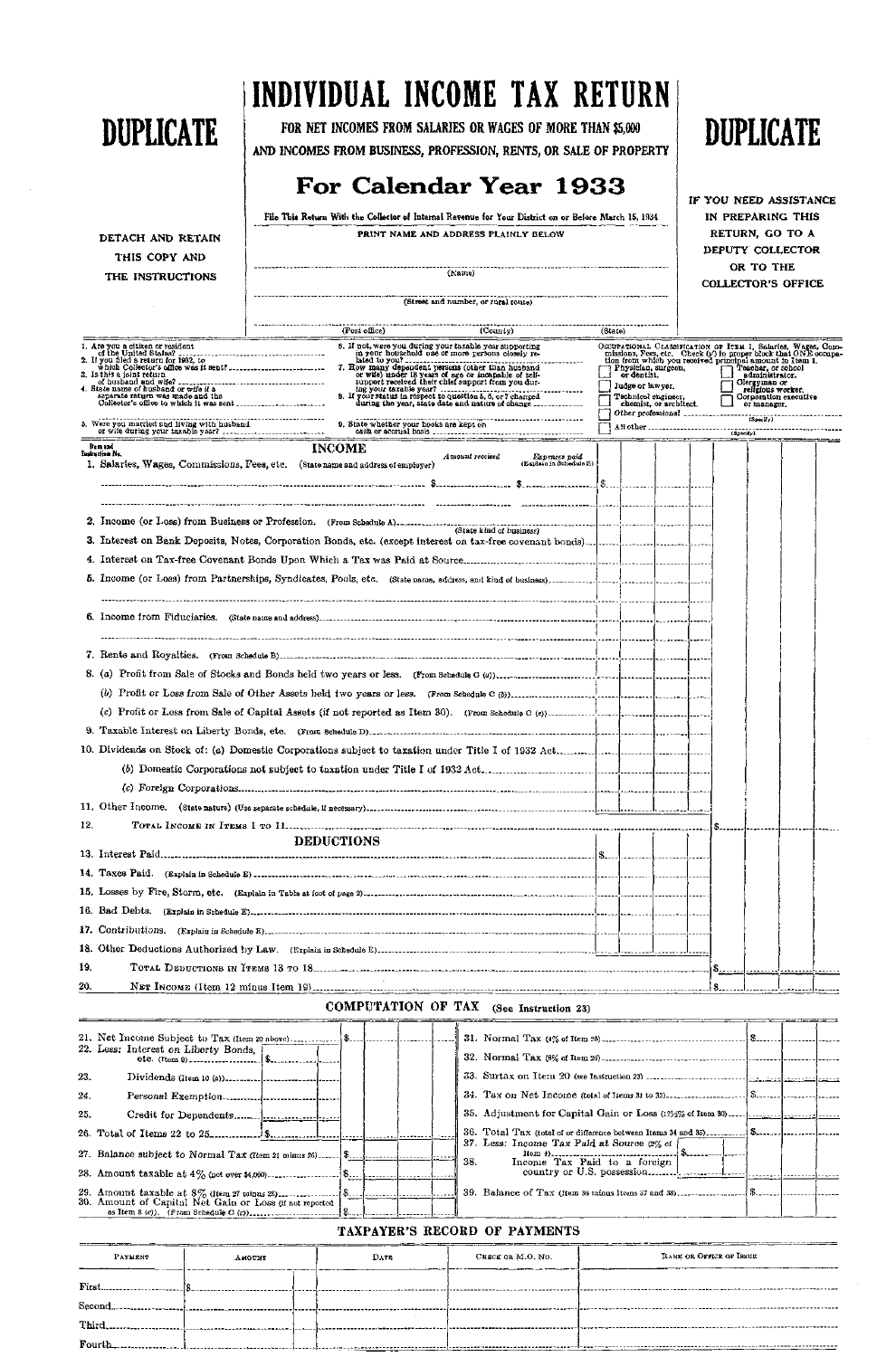|                                                                                                                                                                                                                                                                                                                                    | File This Return With the Collector of Internal Revenue for Your District on or Before March 15, 1934                                                                                                                                                                                         | IN PREPARING THIS                        |         |                                 |                                              |                                                                                                                                                                                                                                                                                                                                                                               |  |                 |  |  |  |  |  |
|------------------------------------------------------------------------------------------------------------------------------------------------------------------------------------------------------------------------------------------------------------------------------------------------------------------------------------|-----------------------------------------------------------------------------------------------------------------------------------------------------------------------------------------------------------------------------------------------------------------------------------------------|------------------------------------------|---------|---------------------------------|----------------------------------------------|-------------------------------------------------------------------------------------------------------------------------------------------------------------------------------------------------------------------------------------------------------------------------------------------------------------------------------------------------------------------------------|--|-----------------|--|--|--|--|--|
| DETACH AND RETAIN                                                                                                                                                                                                                                                                                                                  | PRINT NAME AND ADDRESS PLAINLY BELOW                                                                                                                                                                                                                                                          |                                          |         |                                 |                                              |                                                                                                                                                                                                                                                                                                                                                                               |  | RETURN, GO TO A |  |  |  |  |  |
| THIS COPY AND                                                                                                                                                                                                                                                                                                                      |                                                                                                                                                                                                                                                                                               |                                          |         |                                 |                                              | DEPUTY COLLECTOR                                                                                                                                                                                                                                                                                                                                                              |  |                 |  |  |  |  |  |
| THE INSTRUCTIONS                                                                                                                                                                                                                                                                                                                   | (Name)                                                                                                                                                                                                                                                                                        |                                          |         |                                 |                                              | OR TO THE<br><b>COLLECTOR'S OFFICE</b>                                                                                                                                                                                                                                                                                                                                        |  |                 |  |  |  |  |  |
|                                                                                                                                                                                                                                                                                                                                    |                                                                                                                                                                                                                                                                                               |                                          |         |                                 |                                              |                                                                                                                                                                                                                                                                                                                                                                               |  |                 |  |  |  |  |  |
|                                                                                                                                                                                                                                                                                                                                    |                                                                                                                                                                                                                                                                                               |                                          |         |                                 |                                              |                                                                                                                                                                                                                                                                                                                                                                               |  |                 |  |  |  |  |  |
|                                                                                                                                                                                                                                                                                                                                    | (Post office) (County)<br><u> 1979 - Jan Amerikaansk komponist fan 'e Amerikaansk komponist fan 'e Amerikaansk komponist fan 'e Amerikaansk</u>                                                                                                                                               |                                          | (State) |                                 |                                              |                                                                                                                                                                                                                                                                                                                                                                               |  |                 |  |  |  |  |  |
| I. Ars you a citizen or resident<br>3. Is this a joint return<br>separate return was made and the<br>ocposers socueu was made and the conditional conditions condition of the condition of the condition of the condition of the condition of the condition of the condition of the condition of the condition of the condition of | 8. If not, were you during your taxable year supporting<br>in your household one or more persons closely re-<br>hated to you?<br>The many dependent persons (other than husband<br>or wife) under 18 years of age or incapable of self-<br>support received their chief support from you dur- |                                          |         | or dentist.<br>Judge or lawyer. | 7 Physician, surgeon,<br>Technical engineer, | OCCUPATIONAL CLASSIFICATION OF ITEM 1, Salaries, Wages, Commissions, Fees, etc. Check (y) in proper block that ONE occupation (rom which you received principal amount in Item 1.<br>Teacher, or school<br>Olergyman or<br>religious worker.<br>Corporation executive<br>Corporation ex<br>or manager.<br>chemist, or architect.<br>Other professional contractions (Specify) |  |                 |  |  |  |  |  |
| 5. Were you married and living with husband<br>or wife during ways fiving with husband                                                                                                                                                                                                                                             |                                                                                                                                                                                                                                                                                               |                                          |         |                                 |                                              |                                                                                                                                                                                                                                                                                                                                                                               |  |                 |  |  |  |  |  |
| or wife during your taxable your?<br>Item and                                                                                                                                                                                                                                                                                      | <b>INCOME</b>                                                                                                                                                                                                                                                                                 |                                          |         |                                 |                                              |                                                                                                                                                                                                                                                                                                                                                                               |  |                 |  |  |  |  |  |
| Indraction No.                                                                                                                                                                                                                                                                                                                     | Amount received<br>1. Salaries, Wages, Commissions, Fees, etc. (State name and address of employer)                                                                                                                                                                                           | Expenses paid<br>(Explain in Schedule E) |         |                                 |                                              |                                                                                                                                                                                                                                                                                                                                                                               |  |                 |  |  |  |  |  |
|                                                                                                                                                                                                                                                                                                                                    |                                                                                                                                                                                                                                                                                               |                                          |         |                                 |                                              |                                                                                                                                                                                                                                                                                                                                                                               |  |                 |  |  |  |  |  |
|                                                                                                                                                                                                                                                                                                                                    | 2. Income (or Loss) from Business or Profession. (From Schedule A)-concerned and all contracts of business)                                                                                                                                                                                   |                                          |         |                                 |                                              |                                                                                                                                                                                                                                                                                                                                                                               |  |                 |  |  |  |  |  |
|                                                                                                                                                                                                                                                                                                                                    |                                                                                                                                                                                                                                                                                               |                                          |         |                                 |                                              |                                                                                                                                                                                                                                                                                                                                                                               |  |                 |  |  |  |  |  |
|                                                                                                                                                                                                                                                                                                                                    |                                                                                                                                                                                                                                                                                               |                                          |         |                                 |                                              |                                                                                                                                                                                                                                                                                                                                                                               |  |                 |  |  |  |  |  |
|                                                                                                                                                                                                                                                                                                                                    |                                                                                                                                                                                                                                                                                               |                                          |         |                                 |                                              |                                                                                                                                                                                                                                                                                                                                                                               |  |                 |  |  |  |  |  |
|                                                                                                                                                                                                                                                                                                                                    |                                                                                                                                                                                                                                                                                               |                                          |         |                                 |                                              |                                                                                                                                                                                                                                                                                                                                                                               |  |                 |  |  |  |  |  |
|                                                                                                                                                                                                                                                                                                                                    |                                                                                                                                                                                                                                                                                               |                                          |         |                                 |                                              |                                                                                                                                                                                                                                                                                                                                                                               |  |                 |  |  |  |  |  |
|                                                                                                                                                                                                                                                                                                                                    |                                                                                                                                                                                                                                                                                               |                                          |         |                                 |                                              |                                                                                                                                                                                                                                                                                                                                                                               |  |                 |  |  |  |  |  |
|                                                                                                                                                                                                                                                                                                                                    |                                                                                                                                                                                                                                                                                               |                                          |         |                                 |                                              |                                                                                                                                                                                                                                                                                                                                                                               |  |                 |  |  |  |  |  |
|                                                                                                                                                                                                                                                                                                                                    |                                                                                                                                                                                                                                                                                               |                                          |         |                                 |                                              |                                                                                                                                                                                                                                                                                                                                                                               |  |                 |  |  |  |  |  |
|                                                                                                                                                                                                                                                                                                                                    |                                                                                                                                                                                                                                                                                               |                                          |         |                                 |                                              |                                                                                                                                                                                                                                                                                                                                                                               |  |                 |  |  |  |  |  |
|                                                                                                                                                                                                                                                                                                                                    |                                                                                                                                                                                                                                                                                               |                                          |         |                                 |                                              |                                                                                                                                                                                                                                                                                                                                                                               |  |                 |  |  |  |  |  |
|                                                                                                                                                                                                                                                                                                                                    |                                                                                                                                                                                                                                                                                               |                                          |         |                                 |                                              |                                                                                                                                                                                                                                                                                                                                                                               |  |                 |  |  |  |  |  |
|                                                                                                                                                                                                                                                                                                                                    |                                                                                                                                                                                                                                                                                               |                                          |         |                                 |                                              |                                                                                                                                                                                                                                                                                                                                                                               |  |                 |  |  |  |  |  |
|                                                                                                                                                                                                                                                                                                                                    |                                                                                                                                                                                                                                                                                               |                                          |         |                                 |                                              |                                                                                                                                                                                                                                                                                                                                                                               |  |                 |  |  |  |  |  |
| 12.                                                                                                                                                                                                                                                                                                                                |                                                                                                                                                                                                                                                                                               |                                          |         |                                 |                                              |                                                                                                                                                                                                                                                                                                                                                                               |  |                 |  |  |  |  |  |
|                                                                                                                                                                                                                                                                                                                                    | <b>DEDUCTIONS</b>                                                                                                                                                                                                                                                                             |                                          |         |                                 |                                              |                                                                                                                                                                                                                                                                                                                                                                               |  |                 |  |  |  |  |  |
|                                                                                                                                                                                                                                                                                                                                    |                                                                                                                                                                                                                                                                                               |                                          |         |                                 |                                              |                                                                                                                                                                                                                                                                                                                                                                               |  |                 |  |  |  |  |  |
|                                                                                                                                                                                                                                                                                                                                    |                                                                                                                                                                                                                                                                                               |                                          |         |                                 |                                              |                                                                                                                                                                                                                                                                                                                                                                               |  |                 |  |  |  |  |  |
|                                                                                                                                                                                                                                                                                                                                    |                                                                                                                                                                                                                                                                                               |                                          |         |                                 |                                              |                                                                                                                                                                                                                                                                                                                                                                               |  |                 |  |  |  |  |  |
|                                                                                                                                                                                                                                                                                                                                    |                                                                                                                                                                                                                                                                                               |                                          |         |                                 |                                              |                                                                                                                                                                                                                                                                                                                                                                               |  |                 |  |  |  |  |  |
|                                                                                                                                                                                                                                                                                                                                    |                                                                                                                                                                                                                                                                                               |                                          |         |                                 |                                              |                                                                                                                                                                                                                                                                                                                                                                               |  |                 |  |  |  |  |  |
|                                                                                                                                                                                                                                                                                                                                    |                                                                                                                                                                                                                                                                                               |                                          |         |                                 |                                              |                                                                                                                                                                                                                                                                                                                                                                               |  |                 |  |  |  |  |  |
| 19.                                                                                                                                                                                                                                                                                                                                |                                                                                                                                                                                                                                                                                               |                                          |         |                                 |                                              |                                                                                                                                                                                                                                                                                                                                                                               |  |                 |  |  |  |  |  |
| 20.                                                                                                                                                                                                                                                                                                                                |                                                                                                                                                                                                                                                                                               |                                          |         |                                 |                                              |                                                                                                                                                                                                                                                                                                                                                                               |  |                 |  |  |  |  |  |

## COMPUTATION OF TAX (See Instruction 23)

| -- | -----<br>______<br>____________ |                               |
|----|---------------------------------|-------------------------------|
|    |                                 | ) Wessex-al------------------ |

┯

Ŧ

# **INDIVIDUAL INCOME TAX RETURN**

**FOR NET INCOMES FROM SALARIES OR WAGES OF MORE THAN \$5,000 AND INCOMES FROM BUSINESS, PROFESSION, RENTS, OR SALE OF PROPERTY** 

## **For Calendar Year 193 3**

**DUPLICATE** 

**IF YOU NEED ASSISTANCE** 



### TAXPAYER'S RECORD OF PAYMENTS

| <b>PAYMENT</b> | <b>TKJONA</b> | DATE | CRECK OR M.O. NO. | BANE OR OFFICE OF ISSUE |
|----------------|---------------|------|-------------------|-------------------------|
| First.         |               |      |                   |                         |
| Second         |               |      |                   |                         |
| Third          |               |      |                   | . . <b>.</b>            |
| Fourth         |               |      |                   |                         |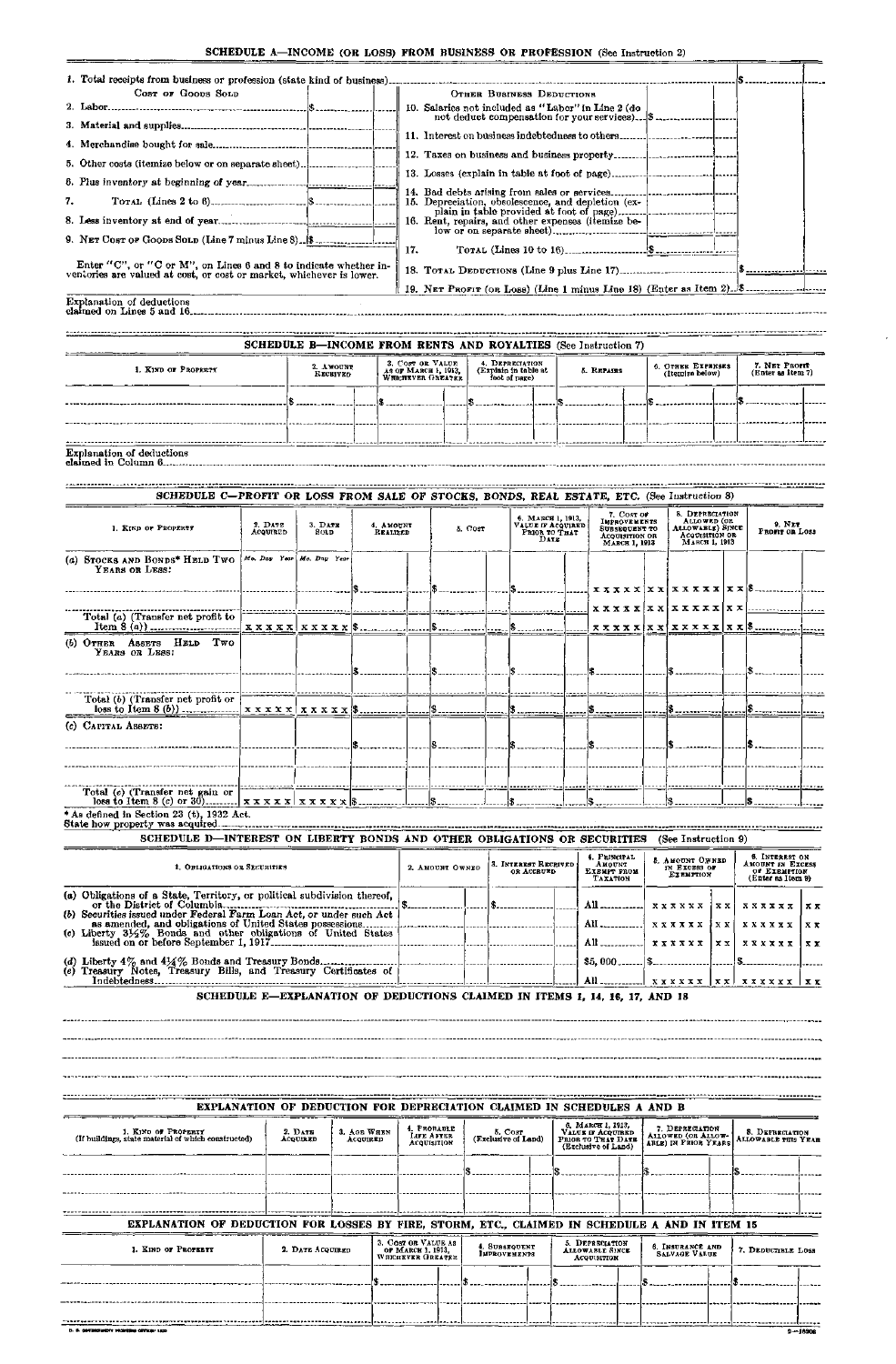#### SCHEDULE A—INCOME (OR LOSS) FROM BUSINESS OR PROFESSION (See Instruction 2)

| 1. Total receipts from business or profession (state kind of business)                                                              |                                                                       |  |  |  |  |  |  |  |  |
|-------------------------------------------------------------------------------------------------------------------------------------|-----------------------------------------------------------------------|--|--|--|--|--|--|--|--|
| Cost of Goops Solp                                                                                                                  | OTHER BUSINESS DEDUCTIONS                                             |  |  |  |  |  |  |  |  |
|                                                                                                                                     | 10. Salaries not included as "Labor" in Line 2 (do                    |  |  |  |  |  |  |  |  |
|                                                                                                                                     |                                                                       |  |  |  |  |  |  |  |  |
|                                                                                                                                     |                                                                       |  |  |  |  |  |  |  |  |
|                                                                                                                                     |                                                                       |  |  |  |  |  |  |  |  |
|                                                                                                                                     |                                                                       |  |  |  |  |  |  |  |  |
|                                                                                                                                     |                                                                       |  |  |  |  |  |  |  |  |
| 7.                                                                                                                                  | 15. Depreciation, obsolescence, and depletion (ex-                    |  |  |  |  |  |  |  |  |
|                                                                                                                                     | 16. Rent, repairs, and other expenses (itemize be-                    |  |  |  |  |  |  |  |  |
| 9. NET COST OF GOODS SOLD (Line 7 minus Line 8). 8. Concern County                                                                  |                                                                       |  |  |  |  |  |  |  |  |
|                                                                                                                                     | 17.                                                                   |  |  |  |  |  |  |  |  |
| Enter "C", or "C or M", on Lines 6 and 8 to indicate whether inventories are valued at cost, or cost or market, whichever is lower. |                                                                       |  |  |  |  |  |  |  |  |
|                                                                                                                                     | 19. NET PROFIT (OR LOSS) (Line 1 minus Line 18) (Enter as Item 2). S. |  |  |  |  |  |  |  |  |
| <b>Explanation of deductions</b><br>claimed on Lines 5 and 16.                                                                      |                                                                       |  |  |  |  |  |  |  |  |

#### SCHEDULE B-INCOME FROM RENTS AND ROYALTIES (See Instruction 7)

............

----------

| 1. KIND OF PROPERTY | 3. COST OR VALUE<br>4. DEPRECIATION<br>2. AMOUNT<br>AS OF MARCH 1, 1913,<br>(Explain in table at<br><b>RECEIVED</b><br>foot of page) |  | 5. REPAIRS | 6. OTHER EXPENSES<br>(Itemize below) |   | 7. NET PROFIT<br>(Enter as Item 7) |  |  |  |
|---------------------|--------------------------------------------------------------------------------------------------------------------------------------|--|------------|--------------------------------------|---|------------------------------------|--|--|--|
|                     |                                                                                                                                      |  | --         |                                      |   |                                    |  |  |  |
|                     |                                                                                                                                      |  |            |                                      | . |                                    |  |  |  |

#### Explanation of deductions claimed in Column 6

| SCHEDULE C-PROFIT OR LOSS FROM SALE OF STOCKS, BONDS, REAL ESTATE, ETC. (See Instruction 8) |                                               |                           |                       |         |                                                                 |                                                                                       |                                                                                       |                                             |  |  |  |  |  |  |
|---------------------------------------------------------------------------------------------|-----------------------------------------------|---------------------------|-----------------------|---------|-----------------------------------------------------------------|---------------------------------------------------------------------------------------|---------------------------------------------------------------------------------------|---------------------------------------------|--|--|--|--|--|--|
| 1. KIND OF PROPERTY                                                                         | 2. DATE<br>3. DATE<br><b>ACQUIRED</b><br>SOLD |                           | 4. Аморкт<br>REALIZED | 5. Cost | 6. МАВСИ 1, 1913.<br>VALUE IF ACQUIRED<br>PRIOR TO THAT<br>DATE | 7. COST OF<br>IMPROVEMENTS<br><b>SUBSEQUENT TO</b><br>ACQUISITION OR<br>MARCH 1, 1913 | 8. DEPRECIATION<br>ALLOWED (OR<br>ALLOWABLE) SINCE<br>ACQUISITION OR<br>MARCH 1, 1913 | 9. N <sub>ET</sub><br><b>PROFIT OR LOSS</b> |  |  |  |  |  |  |
| (a) STOCKS AND BONDS* HELD TWO<br>YEARS OR LESS:                                            |                                               | Mo. Day Your Mo. Day Year |                       |         |                                                                 |                                                                                       |                                                                                       |                                             |  |  |  |  |  |  |
|                                                                                             |                                               |                           |                       |         |                                                                 |                                                                                       | $x x x x x   x x   x x x x x x   x x   x $                                            |                                             |  |  |  |  |  |  |
| Total (a) (Transfer net profit to                                                           |                                               |                           |                       |         |                                                                 |                                                                                       |                                                                                       |                                             |  |  |  |  |  |  |
|                                                                                             |                                               |                           |                       |         |                                                                 |                                                                                       |                                                                                       |                                             |  |  |  |  |  |  |
| (b) OTHER ASSETS HELD TWO<br>YEARS OR LESS:                                                 |                                               |                           |                       |         |                                                                 |                                                                                       |                                                                                       |                                             |  |  |  |  |  |  |
|                                                                                             |                                               |                           |                       |         |                                                                 |                                                                                       |                                                                                       |                                             |  |  |  |  |  |  |
| Total (b) (Transfer net profit or                                                           |                                               |                           |                       |         | D-11-11-11-11-1                                                 |                                                                                       |                                                                                       | . ð <u></u>                                 |  |  |  |  |  |  |
| (c) CAPITAL ASSETS:                                                                         |                                               |                           |                       |         |                                                                 |                                                                                       |                                                                                       |                                             |  |  |  |  |  |  |
|                                                                                             |                                               |                           |                       |         |                                                                 |                                                                                       |                                                                                       |                                             |  |  |  |  |  |  |
|                                                                                             |                                               |                           |                       |         |                                                                 |                                                                                       |                                                                                       |                                             |  |  |  |  |  |  |
| Total (c) (Transfer net gain or                                                             |                                               |                           |                       |         |                                                                 |                                                                                       |                                                                                       |                                             |  |  |  |  |  |  |
| * As defined in Section 23 (t), 1932 Act.                                                   |                                               |                           |                       |         |                                                                 |                                                                                       |                                                                                       |                                             |  |  |  |  |  |  |

State how property was acquired

| 1. OBLIGATIONS OR SECURITIES                                                                                                           |  | 2. AMOUNT OWNED |  | 13. INTEREST RECEIVED!<br>OR ACCRUED. |  | 4. PRINCIPAL<br>AMOUNT<br>EXEMPT FROM<br>TAXATION | 5. AMOUNT OWNED<br>IN EXCESS OF<br><b>EXEMPTION</b> |               | 6. INTEREST ON<br>AMOUNT IN EXCESS<br>OF EXEMPTION<br>(Enter as Item 9) |                               |              |
|----------------------------------------------------------------------------------------------------------------------------------------|--|-----------------|--|---------------------------------------|--|---------------------------------------------------|-----------------------------------------------------|---------------|-------------------------------------------------------------------------|-------------------------------|--------------|
|                                                                                                                                        |  |                 |  |                                       |  | All                                               | x x x x x x                                         | $\{x x\}$     |                                                                         | xxxxxx   xx                   |              |
| (b) Securities issued under Federal Farm Loan Act, or under such Act<br>(c) Liberty 31/2% Bonds and other obligations of United States |  |                 |  |                                       |  | All<br>All                                        | <b>XXXXXX</b><br>x x x x x x                        | ixxi<br>  x x |                                                                         | <b>XXXXXX</b><br>xxxxxx   x x | $\mathbf{x}$ |
| Indebtedness                                                                                                                           |  |                 |  |                                       |  |                                                   | x x x x x x   x x   x x x x x x   x x               |               |                                                                         |                               |              |

EXPLANATION OF DEDUCTIONS CLAIMED IN ITEMS 1, 14, 16, 17, AND 18

| EXPLANATION OF DEDUCTION FOR DEPRECIATION CLAIMED IN SCHEDULES A AND B                         |                     |                         |  |                                                                      |  |                                          |  |                                                                                     |  |                                       |  |                                        |  |
|------------------------------------------------------------------------------------------------|---------------------|-------------------------|--|----------------------------------------------------------------------|--|------------------------------------------|--|-------------------------------------------------------------------------------------|--|---------------------------------------|--|----------------------------------------|--|
| 1. KIND OF PROPERTY<br>(If buildings, state material of which constructed)                     | 2. DATE<br>ACQUIRED | 3. AGE WHEN<br>ACQUIRED |  | 4. PROBABLE<br>LIFE AFTER<br>ACQUISITION                             |  | $5. \text{ Cost}$<br>(Exclusive of Land) |  | 6, MARCH 1, 1913,<br>VALUE IF ACQUIRED<br>PRIOR TO THAT DATE<br>(Exclusive of Land) |  | 7. DEPRECIATION<br>ALLOWED (OR ALLOW- |  | 8. DEPRECIATION<br>ALLOWABLE THIS YEAR |  |
|                                                                                                |                     |                         |  |                                                                      |  |                                          |  |                                                                                     |  |                                       |  |                                        |  |
|                                                                                                |                     |                         |  |                                                                      |  |                                          |  |                                                                                     |  |                                       |  |                                        |  |
| EXPLANATION OF DEDUCTION FOR LOSSES BY FIRE, STORM, ETC., CLAIMED IN SCHEDULE A AND IN ITEM 15 |                     |                         |  |                                                                      |  |                                          |  |                                                                                     |  |                                       |  |                                        |  |
| 1. KIND OF PROPERTY                                                                            | 2. DATE ACQUIRED    |                         |  | 3. COST OR VALUE AS<br>OF MARCH 1, 1913,<br><b>WHICHEVER GREATER</b> |  | 4. SUBSEQUENT<br><b>IMPROVEMENTS</b>     |  | 5. DEPRECIATION<br><b>ALLOWABLE SINCE</b><br><b>ACQUISITION</b>                     |  | 6. INSURANCE AND<br>SALVAGE VALUE     |  | 7. DEDUCTIBLE LOSS                     |  |
|                                                                                                |                     |                         |  |                                                                      |  |                                          |  |                                                                                     |  |                                       |  |                                        |  |
|                                                                                                |                     |                         |  |                                                                      |  |                                          |  |                                                                                     |  |                                       |  |                                        |  |
|                                                                                                |                     |                         |  |                                                                      |  |                                          |  |                                                                                     |  |                                       |  |                                        |  |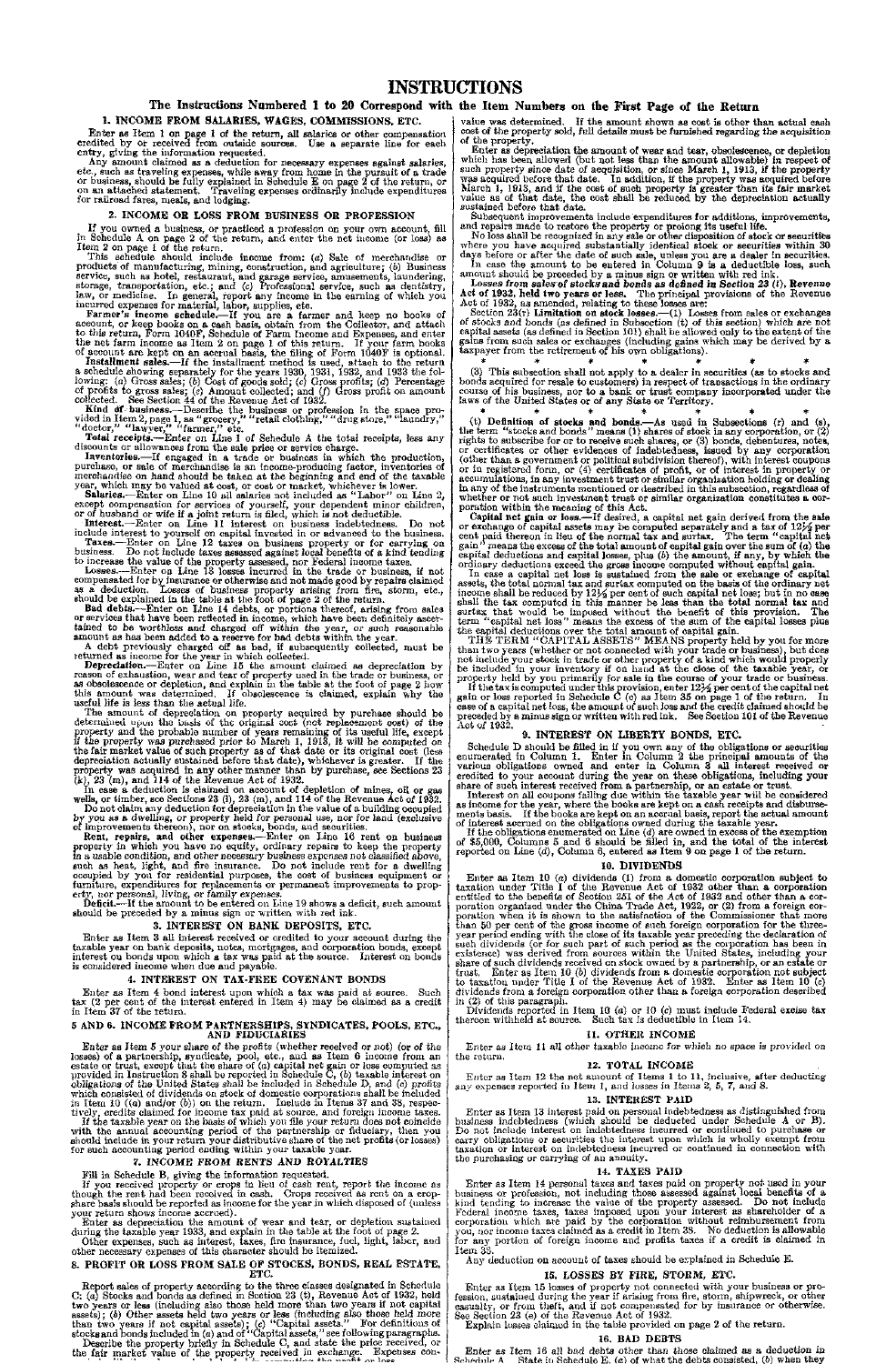#### 1. INCOME FROM SALARIES, WAGES, COMMISSIONS, ETC.

Enter as Item 1 on page 1 of the return, all salaries or other compensation credited by or received from outside sources. Use a separate line for each entry, giving the information requested.

Any amount claimed as a deduction for necessary expenses against salaries, etc., such as traveling expenses, while away from home in the pursuit of a trade or business, should be fully explained in Schedule E on page 2 of the return, or on an attached statement. Traveling expenses ordinarily include expenditures for railroad fares, meals, and lodging.

#### 2. INCOME OR LOSS FROM BUSINESS OR PROFESSION

If you owned a business, or practiced a profession on your own account, fill in Schedule A on page 2 of the return, and enter the net income (or loss) as Item 2 on page 1 of the return.

This schedule should include income from: *(a)* Sale of merchandise or products of manufacturing, mining, construction, and agriculture; (b) Business service, such as hotel, restaurant, and garage service, amusements, laundering, storage, transportation, etc.; and (c) Professional service, such as dentistry, law, or medicine. In general, report any income in the earning of which you incurred expenses for material, labor, supplies, etc.

Inventories.—If engaged in a trade or business in which the production, purchase, or sale of merchandise is an income-producing factor, inventories of merchandise on hand should be taken at the beginning and end of the taxable year, which may be valued at cost, or cost or market, whichever is lower.

Farmer's income schedule.—If you are a farmer and keep no books of account, or keep books on a cash basis, obtain from the Collector, and attach to this return, Form 1040F, Schedule of Farm Income and Expenses, and enter the net farm income as Item 2 on page 1 of this return. If your farm books of account are kept on an accrual basis, the filing of Form 1040F is optional.

Installment sales.—If the installment method is used, attach to the return a schedule showing separately for the years 1930, 1931, 1932, and 1933 the following: (a) Gross sales; (6) Cost of goods sold; (c) Gross profits; *(d)* Percentage of profits to gross sales; (c) Amount collected; and (/) Gross profit on amount collected. See Section 44 of the Revenue Act of 1932.

Kind df business.—Describe the business or profession in the space provided in Item 2, page 1, as "grocery," "retail clothing," "drug store," "laundry," "doctor," "lawyer," "farmer," etc.

The amount of depreciation on property acquired by purchase should be determined upon the basis of the original cost (not replacement oost) of the property and the probable number of years remaining of its useful life, except if the property was purchased prior to March 1, 1913, it will be computed on the fair market value of such property as of that date or its original cost (less depreciation actually sustained before that date), whichever is greater. If the property was acquired in any other manner than by purchase, see Sections 23  $(k)$ , 23 (m), and 114 of the Hevenue Act of 1932.

Total receipts.—Enter on Line 1 of Schedule A the total receipts, less any discounts or allowances from the sale price or service charge.

Salaries.-—Enter on Line 10 all salaries not included as "Labor " on Line 2, except compensation for services of yourself, your dependent minor children, or of husband or wife if a joint return is filed, which is not deductible.

Interest.—Enter on Line 11 interest on business indebtedness. Do not include interest to yourself on capital invested in or advanced to the business.

Taxes.—Enter on Line 12 taxes on business property or for carrying on business. Do not include taxes assessed against local benefits of a kind tending to increase the value of the property assessed, nor Federal income taxes.

Losses.—Enter on Line 13 losses incurred in the trade or business, if not compensated for by insurance or otherwise and not made good by repairs claimed as a deduction. Losses of business property arising from fire, storm, etc., should be explained in the table at the foot of page 2 of the return.

Bad debts.—Enter on Line 14 debts, or portions thereof, arising from sales or services that have been reflected in income, which have been definitely ascertained to be worthless and charged off within the year, or such reasonable amount as has been added to a reserve for bad debts within the year.

Enter as depreciation the amount of wear and tear, or depletion sustained during the taxable year 1933, and explain in the table at the foot of page 2.

A debt previously charged off as bad, if subsequently collected, must be returned as income for the year in which collected.

Depreciation.—Enter on Line 15 the amount claimed as depreciation by reason of exhaustion, wear and tear of property used in the trade or business, or as obsolescence or depletion, and explain in the table at the foot of page  $2$  how this amount was determined. If obsolescence is claimed, explain why the useful life is less than the actual life.

Describe the property briefly in Schedule C, and state the price received, or the fair market value of the property received in exchange. Expenses con-

#### **The Instructions Numbered 1 to 20 Correspond with the Item Numbers on the First Page of the Return**

Enter as depreciation the amount of wear and tear, obsolescence, or depletion which has been allowed (but not less than the amount allowable) in respect of such property since date of acquisition, or since March 1, 1913, if the property was acquired before that date. In addition, if the property was acquired before March 1, 1913, and if the cost of such property is greater than its fair market value as of that date, the cost shall be reduced by the depreciation actually sustained before that date.

In case a deduction is claimed on account of depletion of mines, oil or gas wells, or timber, see Sections 23 (1), 23 (m), and 114 of the Revenue Act of 1932.

Do not claim any deduction for depreciation in the value of a building occupied by you as a dwelling, or property held for personal use, nor for land (exclusive of improvements thereon), nor on stocks, bonds, and securities.

 $*$  \* \* \* \* \* \* (3) This subsection shall not apply to a dealer in securities (as to stocks and bonds acquired for resale to customers) in respect of transactions in the ordinary course of his business, nor to a bank or trust company incorporated under the laws of the United States or of any State or Territory.

Rent, repairs, and other expenses.—Enter on Line 16 rent on business property in which you have no equity, ordinary repairs to keep the property in a usable condition, and other necessary business expenses not classified above, such as heat, light, and fire insurance. Do not include rent for a dwelling occupied by you for residential purposes, the cost of business equipment or furniture, expenditures for replacements or permanent improvements to property, nor personal, living, or family expenses.

\* \* \* \* \* \* (t) Definition of stocks and bonds.—As used in Subsections (r) and (s), the term "stocks and bonds" means  $(1)$  shares of stock in any corporation, or  $(2)$ rights to subscribe for or to receive such shares, or (3) bonds, debentures, notes, or certificates or other evidences of indebtedness, issued by any corporation (other than a government or political subdivision thereof), with interest coupons or in registered form, or (4) certificates of profit, or of interest in property or accumulations, in any investment trust or similar organization holding or dealing in any of the instruments mentioned or described in this subsection, regardless of whether or not such investment trust or similar organization constitutes a corporation within the meaning of this Act.

Deficit.—If the amount to be entered on Line 19 shows a deficit, such amount should be preceded by a minus sign or written with red ink.

#### 3. INTEREST ON BANK DEPOSITS, ETC.

Enter as Item 3 all interest received or credited to your account during the taxable year on bank deposits, notes, mortgages, and corporation bonds, except interest on bonds upon which a tax was paid at the source. Interest on bonds is considered income when due and payable.

#### 4. INTEREST ON TAX-FREE COVENANT BONDS

Enter as Item 4 bond interest upon which a tax was paid at source. Such tax (2 per cent of the interest entered in Item 4) may be claimed as a credit in Item 37 of the return.

#### 5 AND 6. INCOME FROM PARTNERSHIPS, SYNDICATES, POOLS, ETC., AND FIDUCIARIES

If the tax is computed under this provision, enter  $12\frac{1}{2}$  per cent of the capital net gain or loss reported in Schedule C (c) as Item 35 on page 1 of the return. In case of a capital net loss, the amount of such loss and the credit claimed should be preceded by a minus sign or written with red ink. See Section 101 of the Revenue Act of 1932.

Schedule  $D$  should be filled in if you own any of the obligations or securities enumerated in Column 1. Enter m Column 2 the principal amounts of the various obligations owned and enter in Column 3 all interest received or credited to your account during the year on these obligations, including your share of such interest received from a partnership, or an estate or trust.

Enter as Item 5 your share of the profits (whether received or not) (or of the losses) of a partnership, syndicate, pool, etc., and as Item 6 income from an estate or trust, except that the share of  $(a)$  capital net gain or loss computed as provided in Instruction 8 shall be reported in Schedule C, (b) taxable interest on obligations of the United States shall be included in Schedule D, and (c) profits which consisted of dividends on stock of domestic corporations shall be included in Item 10 ((a) and/or *(b))* on the return. Include in Items 37 and 38, respectively, credits claimed for income tax paid at source, and foreign income taxes. If the taxable year on the basis of which you file your return does not coincide with the annual accounting period of the partnership or fiduciary, then you should include in your return your distributive share of the net profits (or losses) for such accounting period ending within your taxable year.

#### *7.* INCOME FROM RENTS AND ROYALTIES

Fill in Schedule B, giving the information requested.

If you received property or crops in lieu of cash rent, report the income as though the rent had been received in cash. Crops received as rent on a cropshare basis should be reported as income for the year in which disposed of (unless your return shows income accrued).

Enter as Item 10  $(a)$  dividends  $(1)$  from a domestic corporation subject to taxation under Title I of the Revenue Act of 1932 other than a corporation entitled to the benefits of Section 251 of the Act of 1932 and other than a corporation organized under the China Trade Act, 1922, or (2) from a foreign corporation when it is shown to the satisfaction of the Commissioner that more than 50 per cent of the gross income of such foreign corporation for the three*year* period ending with the close of its taxable year preceding the declaration of such dividends (or for such part of such period as the corporation has been in existence) was derived from sources within the United States, including your share of such dividends received on stock owned by a partnership, or an estate or trust. Enter as Item 10 *(b)* dividends from a domestic corporation not subject to taxation under Title I of the Revenue Act of 1932. Enter as Item 10 (c) dividends from a foreign corporation other than a foreign corporation described in (2) of this paragraph.

Enter as Item 12 the net amount of Items 1 to 11, inclusive, after deducting any expenses reported in Item 1, and losses in Items 2,  $5$ , 7, and 8.

Other expenses, such as interest, taxes, fire insurance, fuel, light, labor, and other necessary expenses of this character should be itemized.

#### 8. PROFIT OR LOSS FROM SALE OF STOCKS, BONDS, REAL ESTATE, ETC.

Report sales of property according to the three classes designated in Schedule C: (a) Stocks and bonds as defined in Section 23 (t), Revenue Act of 1932, held two years or less (including also those held more than two years if not capital assets); (6) Other assets held two years or less (including also those held more than two years if not capital assets); (c) "Capital assets." For definitions of stocks and bonds included in (a) and of "Capital assets," see following paragraphs.

value was determined. If the amount shown as cost is other than actual cash cost of the property sold, full details must be furnished regarding the acquisition of the property.

Subsequent improvements include expenditures for additions, improvements, and repairs made to restore the property or prolong its useful life.

No loss shall be recognized in any sale or other disposition of stock or securities where you have acquired substantially identical stock or securities within 30 days before or after the date of such sale, unless you are a dealer in securities.

In case the amount to be entered in Column 9 is a deductible loss, such amount should be preceded by a minus sign or written with red ink.

Losses *from* sales of stocks and bonds a s defined in Section *23* (t), Revenue Act of 1932, held two years or less. The principal provisions of the Revenue Act of 1932, as amended, relating to these losses are:

Section 23(r) Limitation on stock losses.—(1) Losses from sales or exchanges of stocks and bonds (as defined in Subsection (t) of this section) which are not capital assets (as defined in Section 101) shall be allowed only to the extent of the gains from such sales or exchanges (including gains which may be derived by a taxpayer from the retirement of his own obligations).

Capital net gain or loss.—If desired, a capital net gain derived from the sale or exchange of capital assets may be computed separately and a tax of  $12\frac{1}{2}$  per cent paid thereon in lieu of the normal tax and surtax. The term "capital net gain" means the excess of the total amount of capital gain over the sum of  $(a)$  the capital deductions and capital losses, plus (6) the amount, if any, by which the ordinary deductions exceed the gross income computed without capital gain.

In case a capital net loss is sustained from the sale or exchange of capital assets, the total normal tax and surtax computed on the basis of the ordinary net income shall be reduced by  $12\frac{1}{2}$  per cent of such capital net loss; but in no case shall the tax computed in this manner be less than the total normal tax and surtax that would be imposed without the benefit of this provision. The term "capital net loss" means the excess of the sum of the capital losses plus the capital deductions over the total amount of capital gain.

T HE TERM "CAPITAL ASSETS" MEANS property held by you for more than two years (whether or not connected with your trade or business), but does not include your stock in trade or other property of a kind which would properly be included in your inventory if on hand at the close of the taxable year, or property held by you primarily for sale in the course of your trade or business.

#### 9. INTEREST ON LIBERTY BONDS, ETC.

Interest on all coupons falling due within the taxable year will be considered as income for the year, where the books are kept on a cash receipts and disbursements basis. If the books are kept on an accrual basis, report the actual amount of interest accrued on the obligations owned during the taxable year.

If the obligations enumerated on Line (d) are owned in excess of the exemption of \$5,000, Columns 5 and 6 should be filled in, and the total of the interest reported on Line (d), Column 6, entered as Item 9 on page 1 of the return.

#### 10. DIVIDENDS

Dividends reported in Item 10 (a) or 10 (c) must include Federal excise tax thereon withheld at source. Such tax is deductible in Item 14.

#### 11. OTHER INCOME

Enter as Item 11 all other taxable income for which no space is provided on

the return.

#### 12. TOTAL INCOME

#### 13. INTEREST PAID

Enter as Item 13 interest paid on personal indebtedness as distinguished from business indebtedness (which should be deducted under Schedule A or B). Do not include interest on indebtedness incurred or continued to purchase or carry obligations or securities the interest upon which is wholly exempt from taxation or interest on indebtedness incurred or continued in connection with the purchasing or carrying of an annuity.

#### 14. TAXES PAID

Enter as Item 14 personal taxes and taxes paid on property not used in your business or profession, not including those assessed against local benefits of a kind tending to increase the value of the property assessed. Do not include Federal income taxes, taxes imposed upon your interest as shareholder of a corporation which are paid by the corporation without reimbursement from you, nor income taxes claimed as a credit in Item 38. No deduction is allowable for any portion of foreign income and profits taxes if a credit is claimed in Item 38.

Any deduction on account of taxes should be explained in Schedule K

#### 15. LOSSES BY FIRE, STORM, ETC.

Enter as Item 15 losses of property not connected with your business or profession, sustained during the year if arising from fire, storm, shipwreck, or other casualty, or from theft, and if not compensated for by insurance or otherwise. See Section 23 (e) of the Revenue Act of 1932.

Explain losses claimed in the table provided on page 2 of the return.

#### 16. BAD DEBTS

Enter as Item 16 all bad debts other than those claimed as a deduction in<br>the dule A. State in Schedule E. (a) of what the debts consisted. (b) when they State in Schedule E.  $(a)$  of what the debts consisted,  $(b)$  when they